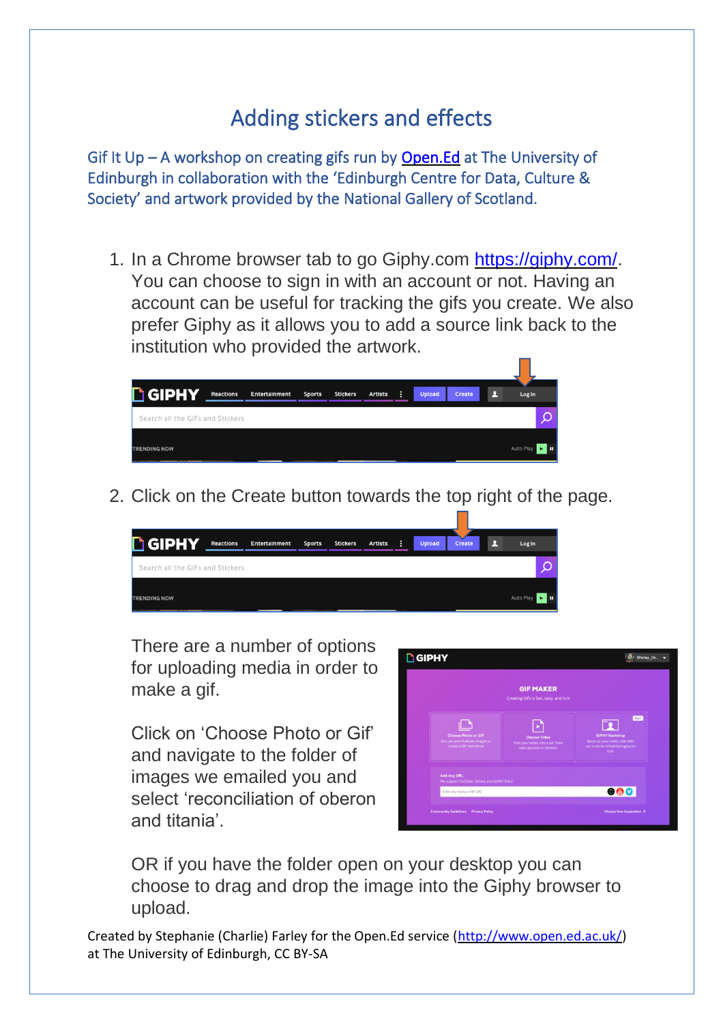## Adding stickers and effects

Gif It Up – A workshop on creating gifs run by [Open.Ed](http://open.ed.ac.uk/) at The University of Edinburgh in collaboration with the 'Edinburgh Centre for Data, Culture & Society' and artwork provided by the National Gallery of Scotland.

1. In a Chrome browser tab to go Giphy.com [https://giphy.com/.](https://giphy.com/) You can choose to sign in with an account or not. Having an account can be useful for tracking the gifs you create. We also prefer Giphy as it allows you to add a source link back to the institution who provided the artwork.



2. Click on the Create button towards the top right of the page.

| <b>GIPHY</b>                     | <b>Reactions</b> | Entertainment | <b>Sports</b> | <b>Stickers</b> | <b>Artists</b> | - 1 | <b>Upload</b> | <b>Create</b> | Log In    |   |
|----------------------------------|------------------|---------------|---------------|-----------------|----------------|-----|---------------|---------------|-----------|---|
| Search all the GIFs and Stickers |                  |               |               |                 |                |     |               |               |           | ◠ |
| <b>TRENDING NOW</b>              |                  |               |               |                 |                |     |               |               | Auto Play |   |

There are a number of options for uploading media in order to make a gif.

Click on 'Choose Photo or Gif' and navigate to the folder of images we emailed you and select 'reconciliation of oberon and titania'.



OR if you have the folder open on your desktop you can choose to drag and drop the image into the Giphy browser to upload.

Created by Stephanie (Charlie) Farley for the Open.Ed service [\(http://www.open.ed.ac.uk/\)](http://www.open.ed.ac.uk/) at The University of Edinburgh, CC BY-SA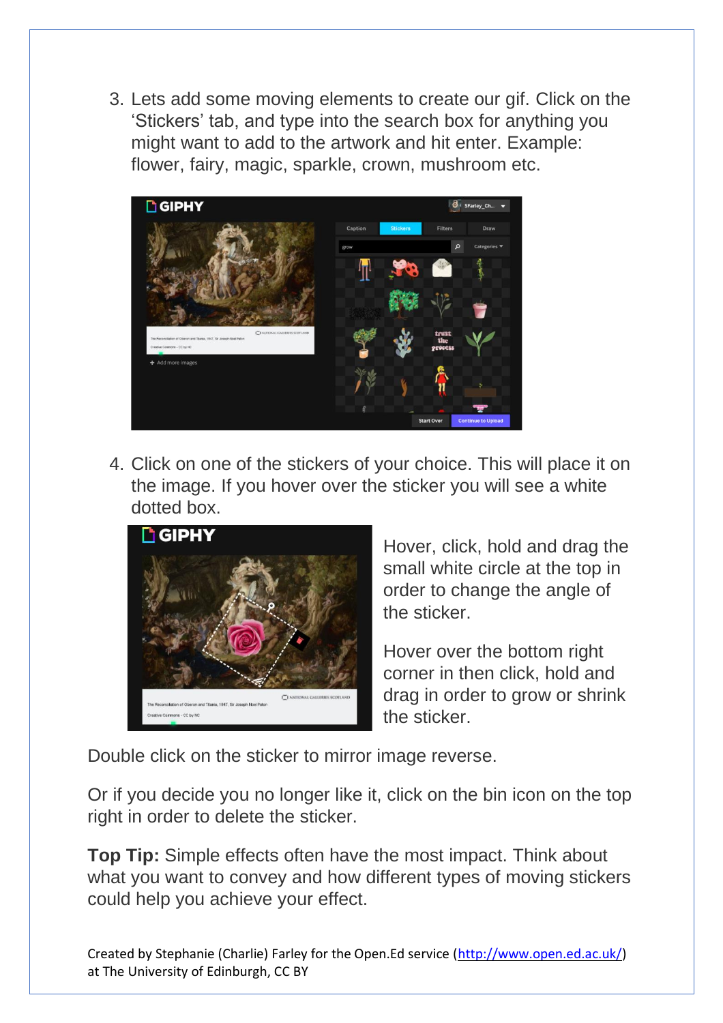3. Lets add some moving elements to create our gif. Click on the 'Stickers' tab, and type into the search box for anything you might want to add to the artwork and hit enter. Example: flower, fairy, magic, sparkle, crown, mushroom etc.



4. Click on one of the stickers of your choice. This will place it on the image. If you hover over the sticker you will see a white dotted box.



Hover, click, hold and drag the small white circle at the top in order to change the angle of the sticker.

Hover over the bottom right corner in then click, hold and drag in order to grow or shrink the sticker.

Double click on the sticker to mirror image reverse.

Or if you decide you no longer like it, click on the bin icon on the top right in order to delete the sticker.

**Top Tip:** Simple effects often have the most impact. Think about what you want to convey and how different types of moving stickers could help you achieve your effect.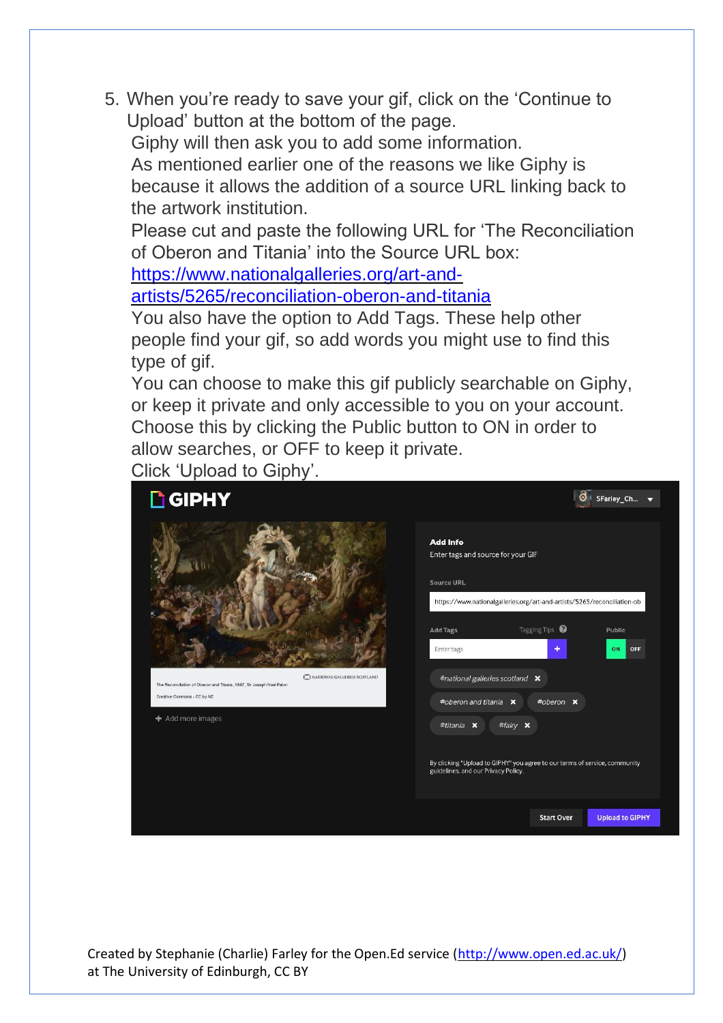5. When you're ready to save your gif, click on the 'Continue to Upload' button at the bottom of the page.

Giphy will then ask you to add some information.

As mentioned earlier one of the reasons we like Giphy is because it allows the addition of a source URL linking back to the artwork institution.

Please cut and paste the following URL for 'The Reconciliation of Oberon and Titania' into the Source URL box:

[https://www.nationalgalleries.org/art-and-](https://www.nationalgalleries.org/art-and-artists/5265/reconciliation-oberon-and-titania)

[artists/5265/reconciliation-oberon-and-titania](https://www.nationalgalleries.org/art-and-artists/5265/reconciliation-oberon-and-titania)

You also have the option to Add Tags. These help other people find your gif, so add words you might use to find this type of gif.

You can choose to make this gif publicly searchable on Giphy, or keep it private and only accessible to you on your account. Choose this by clicking the Public button to ON in order to allow searches, or OFF to keep it private.

Click 'Upload to Giphy'.

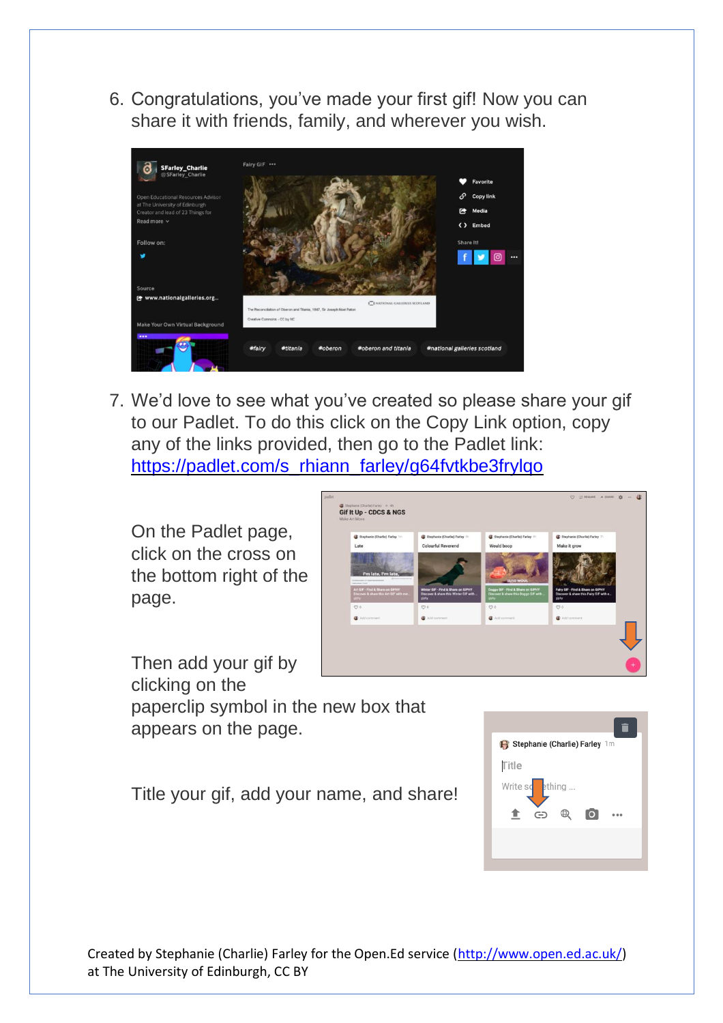6. Congratulations, you've made your first gif! Now you can share it with friends, family, and wherever you wish.



7. We'd love to see what you've created so please share your gif to our Padlet. To do this click on the Copy Link option, copy any of the links provided, then go to the Padlet link: [https://padlet.com/s\\_rhiann\\_farley/g64fvtkbe3frylqo](https://padlet.com/s_rhiann_farley/g64fvtkbe3frylqo)

On the Padlet page, click on the cross on the bottom right of the page.



Then add your gif by clicking on the paperclip symbol in the new box that appears on the page.

Title your gif, add your name, and share!

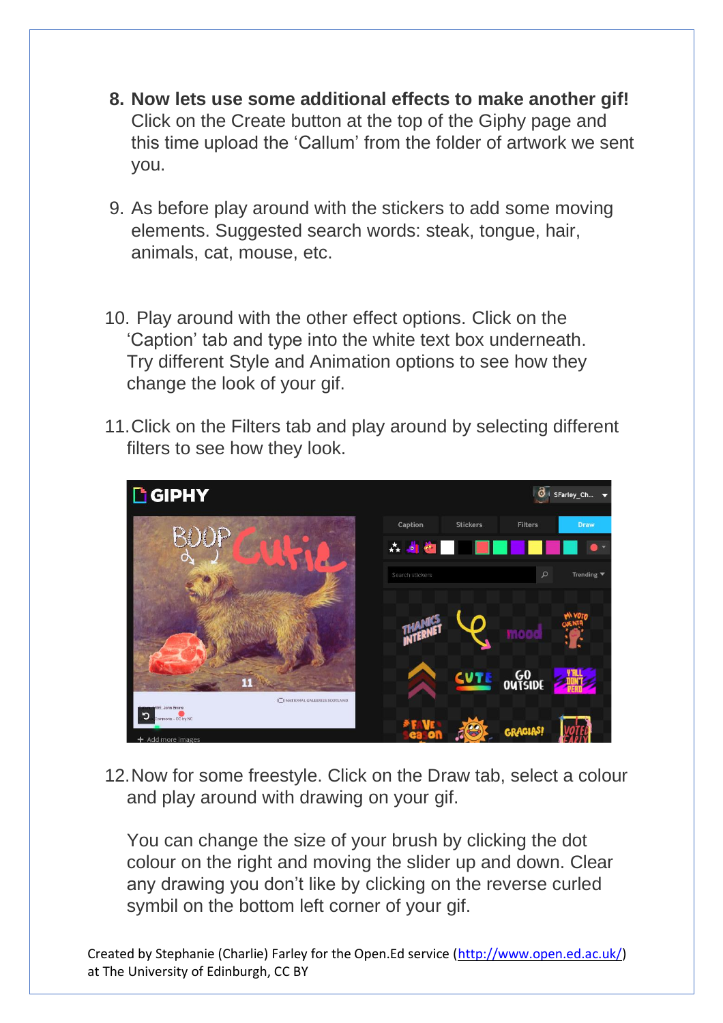- **8. Now lets use some additional effects to make another gif!** Click on the Create button at the top of the Giphy page and this time upload the 'Callum' from the folder of artwork we sent you.
- 9. As before play around with the stickers to add some moving elements. Suggested search words: steak, tongue, hair, animals, cat, mouse, etc.
- 10. Play around with the other effect options. Click on the 'Caption' tab and type into the white text box underneath. Try different Style and Animation options to see how they change the look of your gif.
- 11.Click on the Filters tab and play around by selecting different filters to see how they look.



12.Now for some freestyle. Click on the Draw tab, select a colour and play around with drawing on your gif.

You can change the size of your brush by clicking the dot colour on the right and moving the slider up and down. Clear any drawing you don't like by clicking on the reverse curled symbil on the bottom left corner of your gif.